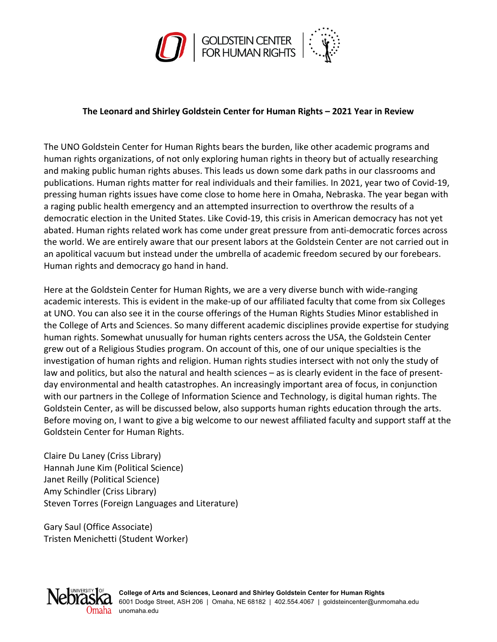

## **The Leonard and Shirley Goldstein Center for Human Rights – 2021 Year in Review**

The UNO Goldstein Center for Human Rights bears the burden, like other academic programs and human rights organizations, of not only exploring human rights in theory but of actually researching and making public human rights abuses. This leads us down some dark paths in our classrooms and publications. Human rights matter for real individuals and their families. In 2021, year two of Covid-19, pressing human rights issues have come close to home here in Omaha, Nebraska. The year began with a raging public health emergency and an attempted insurrection to overthrow the results of a democratic election in the United States. Like Covid-19, this crisis in American democracy has not yet abated. Human rights related work has come under great pressure from anti-democratic forces across the world. We are entirely aware that our present labors at the Goldstein Center are not carried out in an apolitical vacuum but instead under the umbrella of academic freedom secured by our forebears. Human rights and democracy go hand in hand.

Here at the Goldstein Center for Human Rights, we are a very diverse bunch with wide-ranging academic interests. This is evident in the make-up of our affiliated faculty that come from six Colleges at UNO. You can also see it in the course offerings of the Human Rights Studies Minor established in the College of Arts and Sciences. So many different academic disciplines provide expertise for studying human rights. Somewhat unusually for human rights centers across the USA, the Goldstein Center grew out of a Religious Studies program. On account of this, one of our unique specialties is the investigation of human rights and religion. Human rights studies intersect with not only the study of law and politics, but also the natural and health sciences – as is clearly evident in the face of presentday environmental and health catastrophes. An increasingly important area of focus, in conjunction with our partners in the College of Information Science and Technology, is digital human rights. The Goldstein Center, as will be discussed below, also supports human rights education through the arts. Before moving on, I want to give a big welcome to our newest affiliated faculty and support staff at the Goldstein Center for Human Rights.

Claire Du Laney (Criss Library) Hannah June Kim (Political Science) Janet Reilly (Political Science) Amy Schindler (Criss Library) Steven Torres (Foreign Languages and Literature)

Gary Saul (Office Associate) Tristen Menichetti (Student Worker)

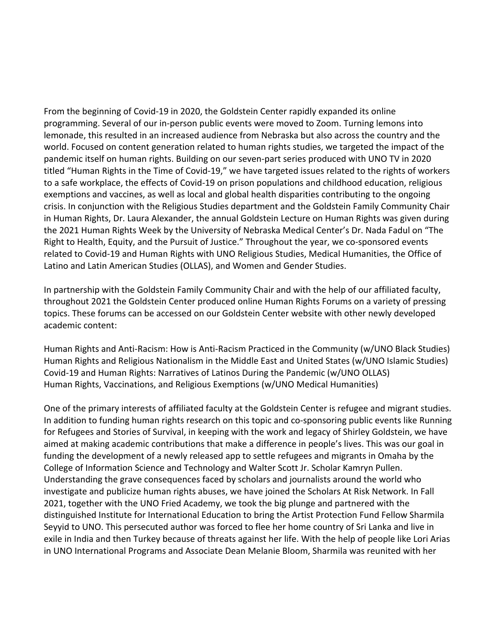From the beginning of Covid-19 in 2020, the Goldstein Center rapidly expanded its online programming. Several of our in-person public events were moved to Zoom. Turning lemons into lemonade, this resulted in an increased audience from Nebraska but also across the country and the world. Focused on content generation related to human rights studies, we targeted the impact of the pandemic itself on human rights. Building on our seven-part series produced with UNO TV in 2020 titled "Human Rights in the Time of Covid-19," we have targeted issues related to the rights of workers to a safe workplace, the effects of Covid-19 on prison populations and childhood education, religious exemptions and vaccines, as well as local and global health disparities contributing to the ongoing crisis. In conjunction with the Religious Studies department and the Goldstein Family Community Chair in Human Rights, Dr. Laura Alexander, the annual Goldstein Lecture on Human Rights was given during the 2021 Human Rights Week by the University of Nebraska Medical Center's Dr. Nada Fadul on "The Right to Health, Equity, and the Pursuit of Justice." Throughout the year, we co-sponsored events related to Covid-19 and Human Rights with UNO Religious Studies, Medical Humanities, the Office of Latino and Latin American Studies (OLLAS), and Women and Gender Studies.

In partnership with the Goldstein Family Community Chair and with the help of our affiliated faculty, throughout 2021 the Goldstein Center produced online Human Rights Forums on a variety of pressing topics. These forums can be accessed on our Goldstein Center website with other newly developed academic content:

Human Rights and Anti-Racism: How is Anti-Racism Practiced in the Community (w/UNO Black Studies) Human Rights and Religious Nationalism in the Middle East and United States (w/UNO Islamic Studies) Covid-19 and Human Rights: Narratives of Latinos During the Pandemic (w/UNO OLLAS) Human Rights, Vaccinations, and Religious Exemptions (w/UNO Medical Humanities)

One of the primary interests of affiliated faculty at the Goldstein Center is refugee and migrant studies. In addition to funding human rights research on this topic and co-sponsoring public events like Running for Refugees and Stories of Survival, in keeping with the work and legacy of Shirley Goldstein, we have aimed at making academic contributions that make a difference in people's lives. This was our goal in funding the development of a newly released app to settle refugees and migrants in Omaha by the College of Information Science and Technology and Walter Scott Jr. Scholar Kamryn Pullen. Understanding the grave consequences faced by scholars and journalists around the world who investigate and publicize human rights abuses, we have joined the Scholars At Risk Network. In Fall 2021, together with the UNO Fried Academy, we took the big plunge and partnered with the distinguished Institute for International Education to bring the Artist Protection Fund Fellow Sharmila Seyyid to UNO. This persecuted author was forced to flee her home country of Sri Lanka and live in exile in India and then Turkey because of threats against her life. With the help of people like Lori Arias in UNO International Programs and Associate Dean Melanie Bloom, Sharmila was reunited with her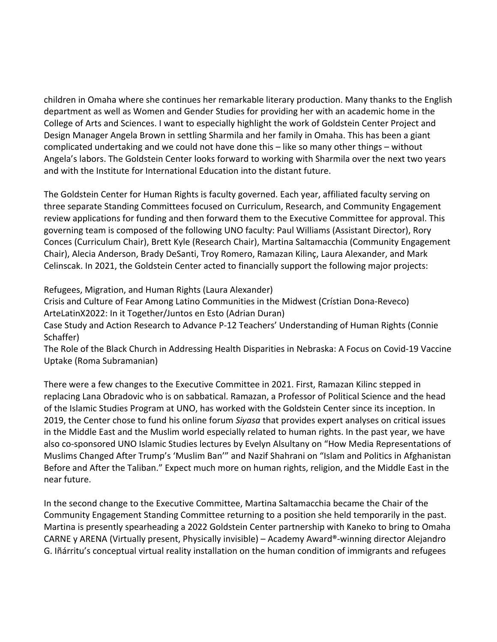children in Omaha where she continues her remarkable literary production. Many thanks to the English department as well as Women and Gender Studies for providing her with an academic home in the College of Arts and Sciences. I want to especially highlight the work of Goldstein Center Project and Design Manager Angela Brown in settling Sharmila and her family in Omaha. This has been a giant complicated undertaking and we could not have done this – like so many other things – without Angela's labors. The Goldstein Center looks forward to working with Sharmila over the next two years and with the Institute for International Education into the distant future.

The Goldstein Center for Human Rights is faculty governed. Each year, affiliated faculty serving on three separate Standing Committees focused on Curriculum, Research, and Community Engagement review applications for funding and then forward them to the Executive Committee for approval. This governing team is composed of the following UNO faculty: Paul Williams (Assistant Director), Rory Conces (Curriculum Chair), Brett Kyle (Research Chair), Martina Saltamacchia (Community Engagement Chair), Alecia Anderson, Brady DeSanti, Troy Romero, Ramazan Kilinç, Laura Alexander, and Mark Celinscak. In 2021, the Goldstein Center acted to financially support the following major projects:

Refugees, Migration, and Human Rights (Laura Alexander)

Crisis and Culture of Fear Among Latino Communities in the Midwest (Crístian Dona-Reveco) ArteLatinX2022: In it Together/Juntos en Esto (Adrian Duran)

Case Study and Action Research to Advance P-12 Teachers' Understanding of Human Rights (Connie Schaffer)

The Role of the Black Church in Addressing Health Disparities in Nebraska: A Focus on Covid-19 Vaccine Uptake (Roma Subramanian)

There were a few changes to the Executive Committee in 2021. First, Ramazan Kilinc stepped in replacing Lana Obradovic who is on sabbatical. Ramazan, a Professor of Political Science and the head of the Islamic Studies Program at UNO, has worked with the Goldstein Center since its inception. In 2019, the Center chose to fund his online forum *Siyasa* that provides expert analyses on critical issues in the Middle East and the Muslim world especially related to human rights. In the past year, we have also co-sponsored UNO Islamic Studies lectures by Evelyn Alsultany on "How Media Representations of Muslims Changed After Trump's 'Muslim Ban'" and Nazif Shahrani on "Islam and Politics in Afghanistan Before and After the Taliban." Expect much more on human rights, religion, and the Middle East in the near future.

In the second change to the Executive Committee, Martina Saltamacchia became the Chair of the Community Engagement Standing Committee returning to a position she held temporarily in the past. Martina is presently spearheading a 2022 Goldstein Center partnership with Kaneko to bring to Omaha CARNE y ARENA (Virtually present, Physically invisible) – Academy Award®-winning director Alejandro G. Iñárritu's conceptual virtual reality installation on the human condition of immigrants and refugees